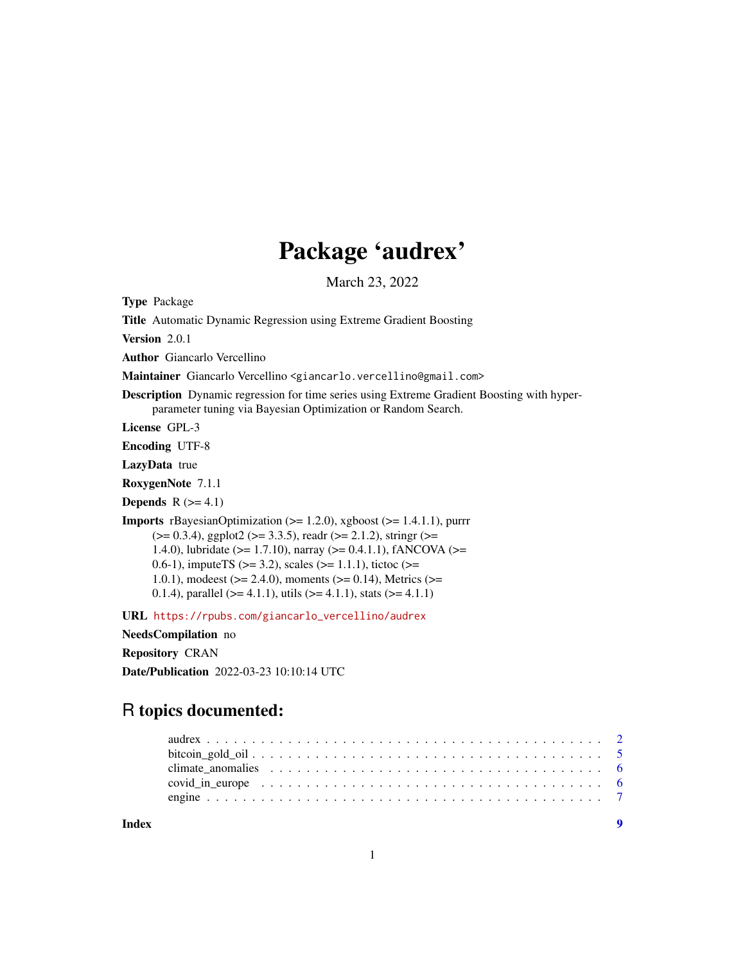# Package 'audrex'

March 23, 2022

Type Package

Title Automatic Dynamic Regression using Extreme Gradient Boosting

Version 2.0.1

Author Giancarlo Vercellino

Maintainer Giancarlo Vercellino <giancarlo.vercellino@gmail.com>

Description Dynamic regression for time series using Extreme Gradient Boosting with hyperparameter tuning via Bayesian Optimization or Random Search.

License GPL-3

Encoding UTF-8

LazyData true

RoxygenNote 7.1.1

**Depends**  $R$  ( $>= 4.1$ )

Imports rBayesianOptimization (>= 1.2.0), xgboost (>= 1.4.1.1), purrr  $(>= 0.3.4)$ , ggplot2 ( $>= 3.3.5$ ), readr ( $>= 2.1.2$ ), stringr ( $>= 1.3.4$ ) 1.4.0), lubridate (>= 1.7.10), narray (>= 0.4.1.1), fANCOVA (>= 0.6-1), impute TS ( $>=$  3.2), scales ( $>=$  1.1.1), tictoc ( $>=$ 1.0.1), modeest ( $> = 2.4.0$ ), moments ( $> = 0.14$ ), Metrics ( $> =$ 0.1.4), parallel ( $> = 4.1.1$ ), utils ( $> = 4.1.1$ ), stats ( $> = 4.1.1$ )

URL [https://rpubs.com/giancarlo\\_vercellino/audrex](https://rpubs.com/giancarlo_vercellino/audrex)

NeedsCompilation no

Repository CRAN

Date/Publication 2022-03-23 10:10:14 UTC

# R topics documented:

| Index |                                                                                                                                                                                                                                |  |  |  |  |  |  |  |  |  |  |  |  |  |  |  |  |
|-------|--------------------------------------------------------------------------------------------------------------------------------------------------------------------------------------------------------------------------------|--|--|--|--|--|--|--|--|--|--|--|--|--|--|--|--|
|       |                                                                                                                                                                                                                                |  |  |  |  |  |  |  |  |  |  |  |  |  |  |  |  |
|       | covid in europe contains the contact of the covid in europe covid in europe contact the contact of the contact of the contact of the contact of the contact of the contact of the contact of the contact of the contact of the |  |  |  |  |  |  |  |  |  |  |  |  |  |  |  |  |
|       | climate anomalies $\ldots \ldots \ldots \ldots \ldots \ldots \ldots \ldots \ldots \ldots \ldots \ldots$                                                                                                                        |  |  |  |  |  |  |  |  |  |  |  |  |  |  |  |  |
|       |                                                                                                                                                                                                                                |  |  |  |  |  |  |  |  |  |  |  |  |  |  |  |  |
|       |                                                                                                                                                                                                                                |  |  |  |  |  |  |  |  |  |  |  |  |  |  |  |  |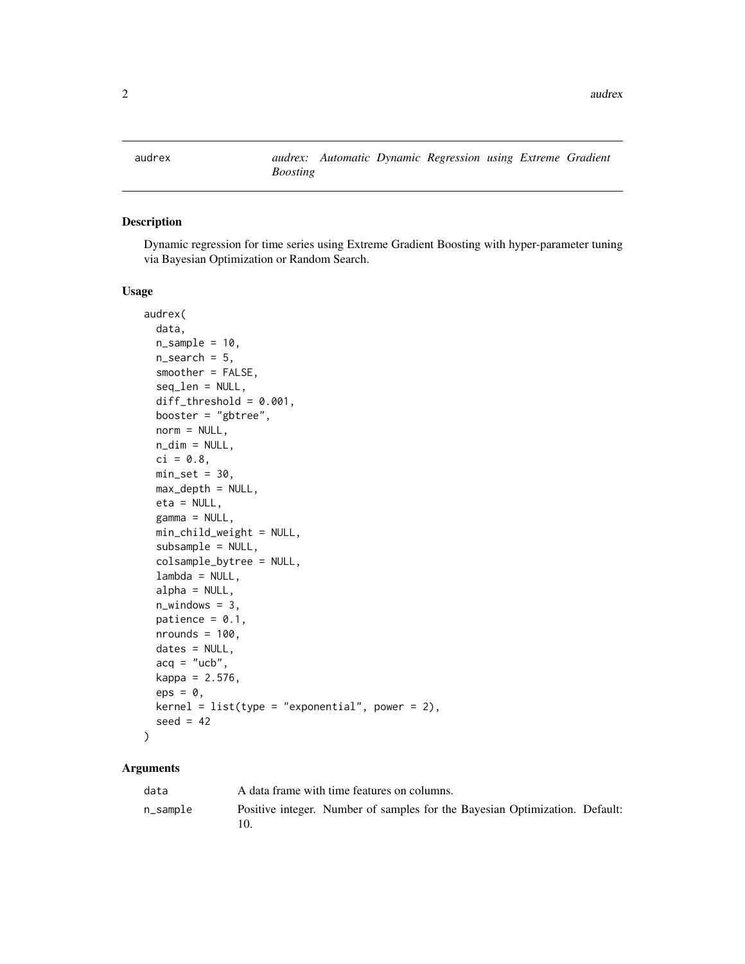<span id="page-1-0"></span>audrex *audrex: Automatic Dynamic Regression using Extreme Gradient Boosting*

# Description

Dynamic regression for time series using Extreme Gradient Boosting with hyper-parameter tuning via Bayesian Optimization or Random Search.

#### Usage

```
audrex(
 data,
 n_sample = 10,
 n_search = 5,
  smoother = FALSE,
  seq_len = NULL,
  diff_{threshold} = 0.001,booster = "gbtree",
 norm = NULL,n\_dim = NULL,ci = 0.8,
 min_set = 30,
 max\_depth = NULL,eta = NULL,
  gamma = NULL,
 min_child_weight = NULL,
  subsample = NULL,
  colsample_bytree = NULL,
  lambda = NULL,alpha = NULL,n_windows = 3,
 patience = 0.1,
 nrounds = 100,
  dates = NULL,
  acq = "ucb",kappa = 2.576,
  eps = 0,
 \text{kernel} = \text{list}(\text{type} = \text{"exponential", power = 2}),seed = 42)
```
#### Arguments

| data        | A data frame with time features on columns.                                 |
|-------------|-----------------------------------------------------------------------------|
| $n$ _sample | Positive integer. Number of samples for the Bayesian Optimization. Default: |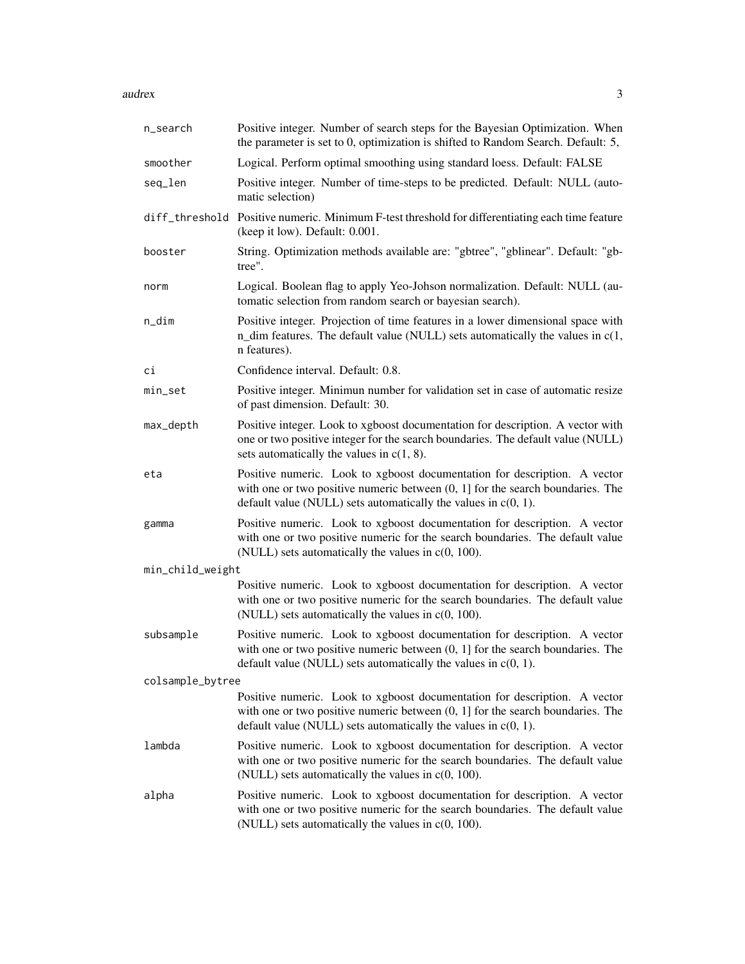audrex 3

| n_search         | Positive integer. Number of search steps for the Bayesian Optimization. When<br>the parameter is set to 0, optimization is shifted to Random Search. Default: 5,                                                                   |
|------------------|------------------------------------------------------------------------------------------------------------------------------------------------------------------------------------------------------------------------------------|
| smoother         | Logical. Perform optimal smoothing using standard loess. Default: FALSE                                                                                                                                                            |
| seq_len          | Positive integer. Number of time-steps to be predicted. Default: NULL (auto-<br>matic selection)                                                                                                                                   |
|                  | diff_threshold Positive numeric. Minimum F-test threshold for differentiating each time feature<br>(keep it low). Default: 0.001.                                                                                                  |
| booster          | String. Optimization methods available are: "gbtree", "gblinear". Default: "gb-<br>tree".                                                                                                                                          |
| norm             | Logical. Boolean flag to apply Yeo-Johson normalization. Default: NULL (au-<br>tomatic selection from random search or bayesian search).                                                                                           |
| n_dim            | Positive integer. Projection of time features in a lower dimensional space with<br>n_dim features. The default value (NULL) sets automatically the values in $c(1, 1)$<br>n features).                                             |
| сi               | Confidence interval. Default: 0.8.                                                                                                                                                                                                 |
| min_set          | Positive integer. Minimun number for validation set in case of automatic resize<br>of past dimension. Default: 30.                                                                                                                 |
| max_depth        | Positive integer. Look to xgboost documentation for description. A vector with<br>one or two positive integer for the search boundaries. The default value (NULL)<br>sets automatically the values in $c(1, 8)$ .                  |
| eta              | Positive numeric. Look to xgboost documentation for description. A vector<br>with one or two positive numeric between $(0, 1]$ for the search boundaries. The<br>default value (NULL) sets automatically the values in $c(0, 1)$ . |
| gamma            | Positive numeric. Look to xgboost documentation for description. A vector<br>with one or two positive numeric for the search boundaries. The default value<br>(NULL) sets automatically the values in $c(0, 100)$ .                |
| min_child_weight |                                                                                                                                                                                                                                    |
|                  | Positive numeric. Look to xgboost documentation for description. A vector<br>with one or two positive numeric for the search boundaries. The default value<br>(NULL) sets automatically the values in $c(0, 100)$ .                |
| subsample        | Positive numeric. Look to xgboost documentation for description. A vector<br>with one or two positive numeric between $(0, 1]$ for the search boundaries. The<br>default value (NULL) sets automatically the values in $c(0, 1)$ . |
| colsample_bytree |                                                                                                                                                                                                                                    |
|                  | Positive numeric. Look to xgboost documentation for description. A vector<br>with one or two positive numeric between $(0, 1]$ for the search boundaries. The<br>default value (NULL) sets automatically the values in $c(0, 1)$ . |
| lambda           | Positive numeric. Look to xgboost documentation for description. A vector<br>with one or two positive numeric for the search boundaries. The default value<br>(NULL) sets automatically the values in $c(0, 100)$ .                |
| alpha            | Positive numeric. Look to xgboost documentation for description. A vector<br>with one or two positive numeric for the search boundaries. The default value<br>(NULL) sets automatically the values in $c(0, 100)$ .                |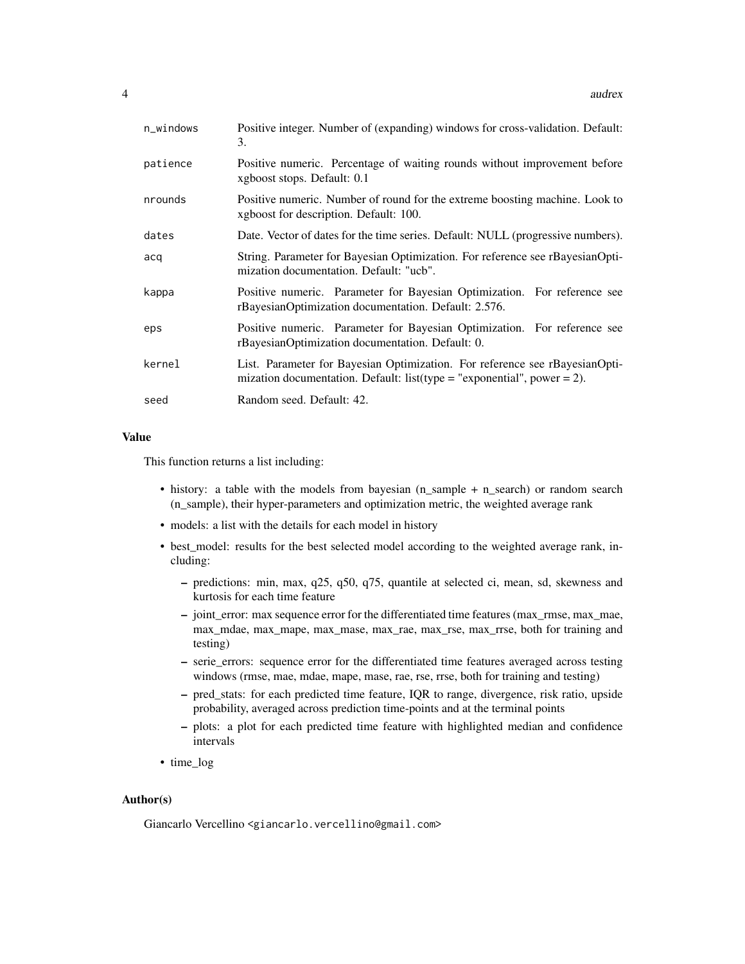| n_windows | Positive integer. Number of (expanding) windows for cross-validation. Default:<br>3.                                                                   |
|-----------|--------------------------------------------------------------------------------------------------------------------------------------------------------|
| patience  | Positive numeric. Percentage of waiting rounds without improvement before<br>xgboost stops. Default: 0.1                                               |
| nrounds   | Positive numeric. Number of round for the extreme boosting machine. Look to<br>xgboost for description. Default: 100.                                  |
| dates     | Date. Vector of dates for the time series. Default: NULL (progressive numbers).                                                                        |
| acq       | String. Parameter for Bayesian Optimization. For reference see rBayesianOpti-<br>mization documentation. Default: "ucb".                               |
| kappa     | Positive numeric. Parameter for Bayesian Optimization. For reference see<br>rBayesianOptimization documentation. Default: 2.576.                       |
| eps       | Positive numeric. Parameter for Bayesian Optimization. For reference see<br>rBayesianOptimization documentation. Default: 0.                           |
| kernel    | List. Parameter for Bayesian Optimization. For reference see rBayesianOpti-<br>mization documentation. Default: list(type = "exponential", power = 2). |
| seed      | Random seed. Default: 42.                                                                                                                              |

#### Value

This function returns a list including:

- history: a table with the models from bayesian (n\_sample + n\_search) or random search (n\_sample), their hyper-parameters and optimization metric, the weighted average rank
- models: a list with the details for each model in history
- best\_model: results for the best selected model according to the weighted average rank, including:
	- predictions: min, max, q25, q50, q75, quantile at selected ci, mean, sd, skewness and kurtosis for each time feature
	- joint\_error: max sequence error for the differentiated time features (max\_rmse, max\_mae, max\_mdae, max\_mape, max\_mase, max\_rae, max\_rse, max\_rrse, both for training and testing)
	- serie\_errors: sequence error for the differentiated time features averaged across testing windows (rmse, mae, mdae, mape, mase, rae, rse, rrse, both for training and testing)
	- pred\_stats: for each predicted time feature, IQR to range, divergence, risk ratio, upside probability, averaged across prediction time-points and at the terminal points
	- plots: a plot for each predicted time feature with highlighted median and confidence intervals
- time\_log

#### Author(s)

Giancarlo Vercellino <giancarlo.vercellino@gmail.com>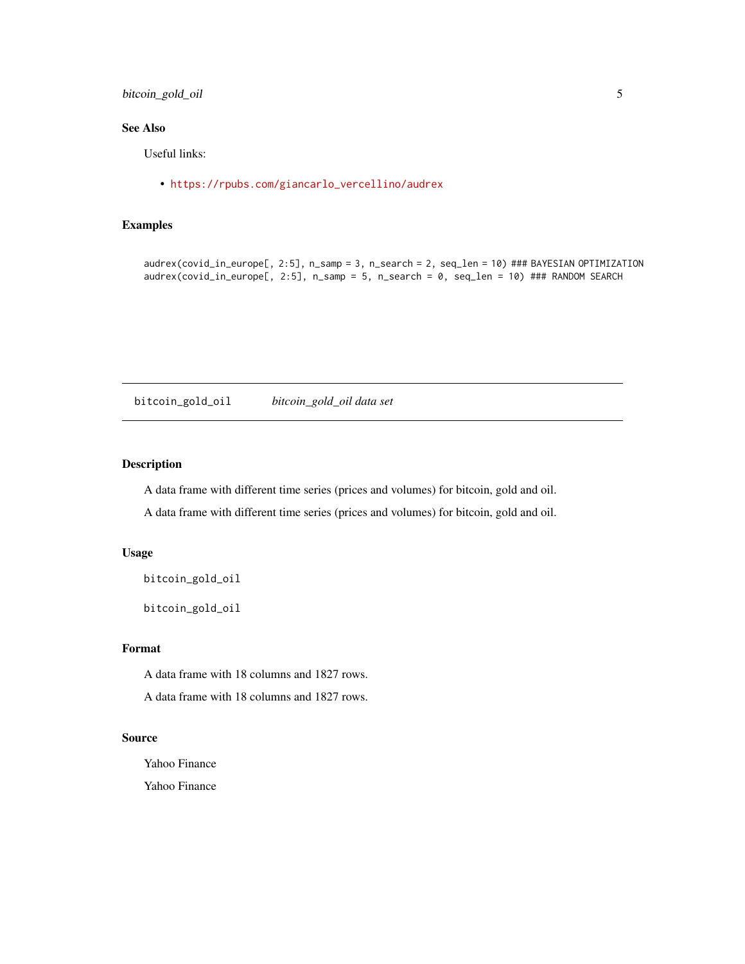## <span id="page-4-0"></span>bitcoin\_gold\_oil 5

# See Also

Useful links:

• [https://rpubs.com/giancarlo\\_vercellino/audrex](https://rpubs.com/giancarlo_vercellino/audrex)

#### Examples

```
audrex(covid_in_europe[, 2:5], n_samp = 3, n_search = 2, seq_len = 10) ### BAYESIAN OPTIMIZATION
audrex(covid_in_europe[, 2:5], n_samp = 5, n_search = 0, seq_len = 10) ### RANDOM SEARCH
```
bitcoin\_gold\_oil *bitcoin\_gold\_oil data set*

#### Description

A data frame with different time series (prices and volumes) for bitcoin, gold and oil.

A data frame with different time series (prices and volumes) for bitcoin, gold and oil.

#### Usage

```
bitcoin_gold_oil
```
bitcoin\_gold\_oil

#### Format

A data frame with 18 columns and 1827 rows.

A data frame with 18 columns and 1827 rows.

#### Source

Yahoo Finance

Yahoo Finance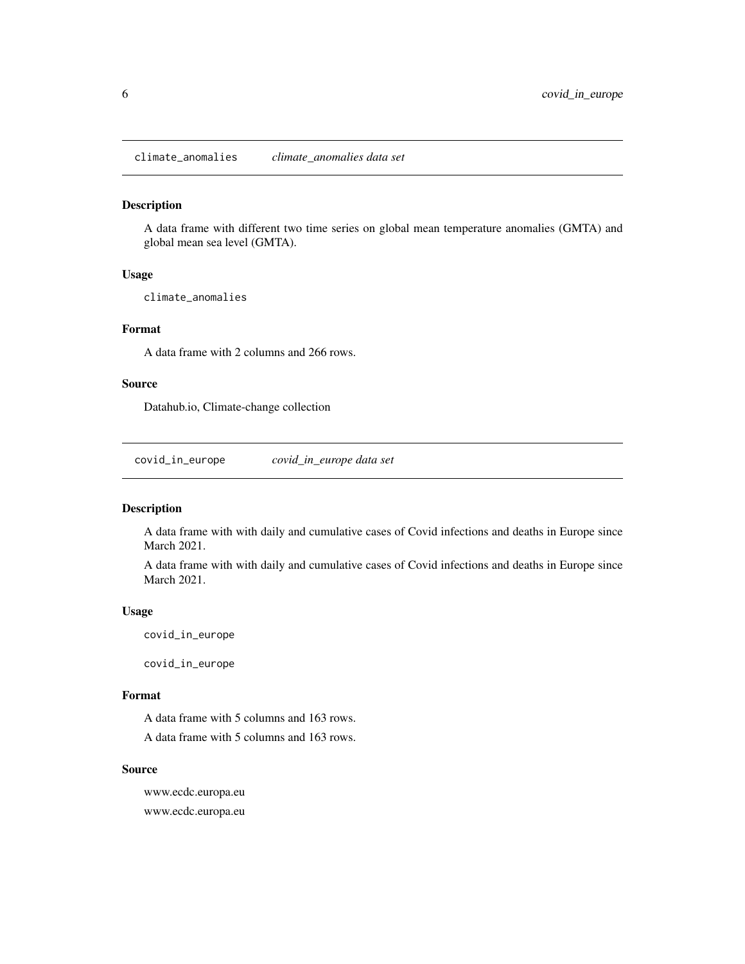<span id="page-5-0"></span>climate\_anomalies *climate\_anomalies data set*

#### Description

A data frame with different two time series on global mean temperature anomalies (GMTA) and global mean sea level (GMTA).

#### Usage

climate\_anomalies

# Format

A data frame with 2 columns and 266 rows.

#### Source

Datahub.io, Climate-change collection

covid\_in\_europe *covid\_in\_europe data set*

#### Description

A data frame with with daily and cumulative cases of Covid infections and deaths in Europe since March 2021.

A data frame with with daily and cumulative cases of Covid infections and deaths in Europe since March 2021.

#### Usage

covid\_in\_europe

covid\_in\_europe

#### Format

A data frame with 5 columns and 163 rows. A data frame with 5 columns and 163 rows.

#### Source

www.ecdc.europa.eu www.ecdc.europa.eu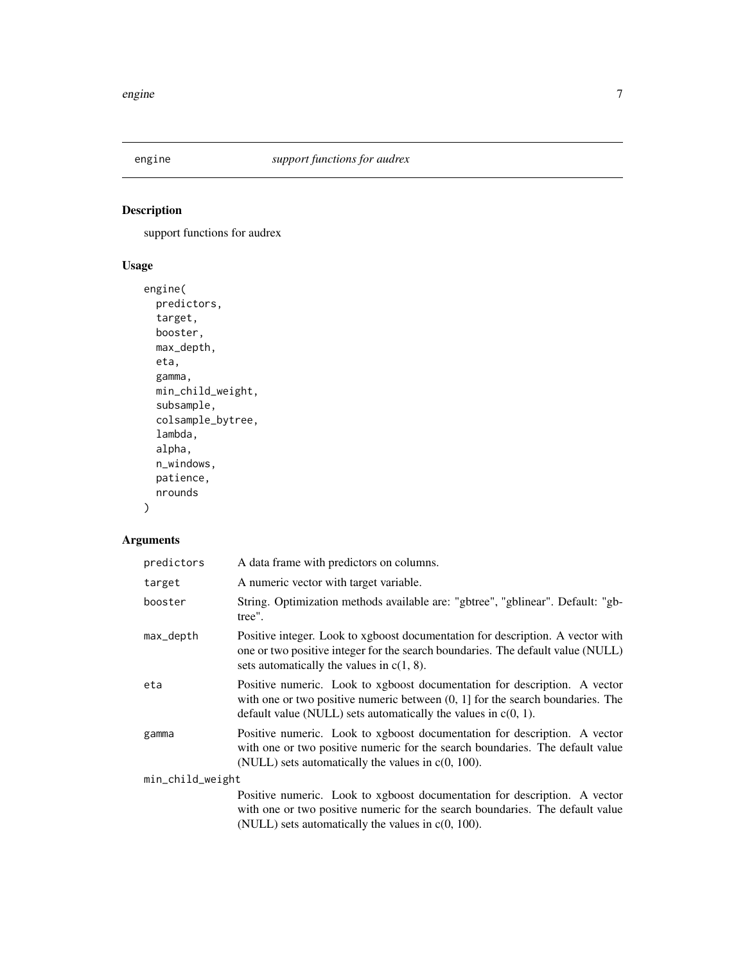<span id="page-6-0"></span>

# Description

support functions for audrex

## Usage

```
engine(
 predictors,
  target,
 booster,
 max_depth,
 eta,
 gamma,
 min_child_weight,
  subsample,
 colsample_bytree,
 lambda,
 alpha,
 n_windows,
 patience,
 nrounds
)
```
# Arguments

| predictors       | A data frame with predictors on columns.                                                                                                                                                                                           |
|------------------|------------------------------------------------------------------------------------------------------------------------------------------------------------------------------------------------------------------------------------|
| target           | A numeric vector with target variable.                                                                                                                                                                                             |
| booster          | String. Optimization methods available are: "gbtree", "gblinear". Default: "gb-<br>tree".                                                                                                                                          |
| max_depth        | Positive integer. Look to xgboost documentation for description. A vector with<br>one or two positive integer for the search boundaries. The default value (NULL)<br>sets automatically the values in $c(1, 8)$ .                  |
| eta              | Positive numeric. Look to xgboost documentation for description. A vector<br>with one or two positive numeric between $(0, 1]$ for the search boundaries. The<br>default value (NULL) sets automatically the values in $c(0, 1)$ . |
| gamma            | Positive numeric. Look to xgboost documentation for description. A vector<br>with one or two positive numeric for the search boundaries. The default value<br>(NULL) sets automatically the values in $c(0, 100)$ .                |
| min_child_weight |                                                                                                                                                                                                                                    |
|                  | Positive numeric. Look to xgboost documentation for description. A vector<br>with one or two positive numeric for the search boundaries. The default value<br>(NULL) sets automatically the values in $c(0, 100)$ .                |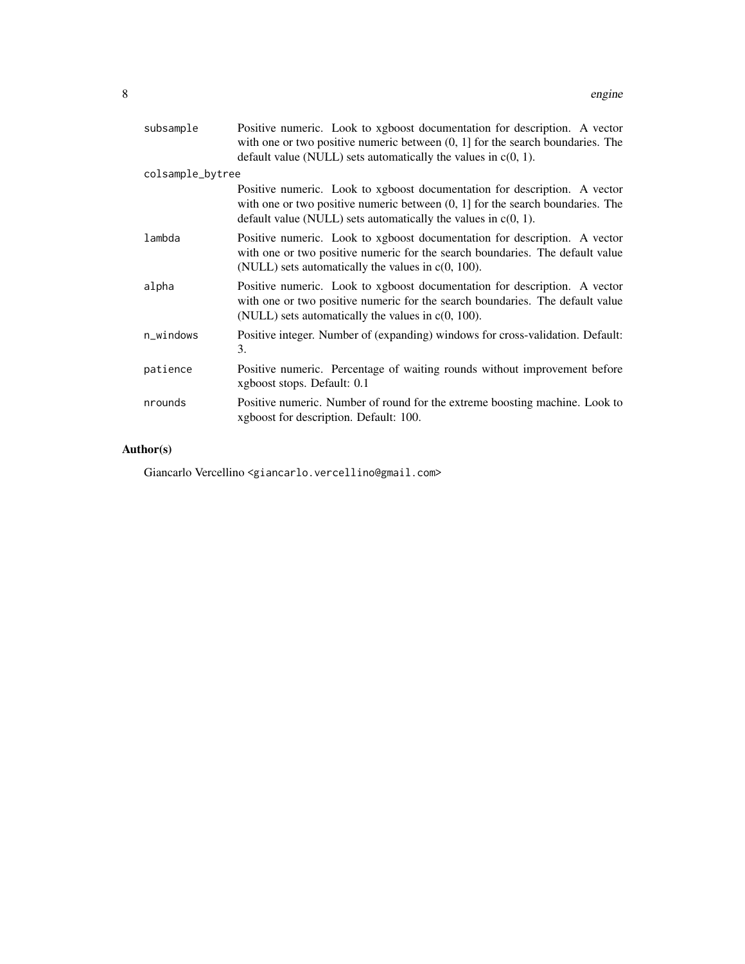| subsample        | Positive numeric. Look to xgboost documentation for description. A vector<br>with one or two positive numeric between $(0, 1]$ for the search boundaries. The<br>default value (NULL) sets automatically the values in $c(0, 1)$ . |  |  |  |  |  |
|------------------|------------------------------------------------------------------------------------------------------------------------------------------------------------------------------------------------------------------------------------|--|--|--|--|--|
| colsample_bytree |                                                                                                                                                                                                                                    |  |  |  |  |  |
|                  | Positive numeric. Look to xgboost documentation for description. A vector<br>with one or two positive numeric between $(0, 1]$ for the search boundaries. The<br>default value (NULL) sets automatically the values in $c(0, 1)$ . |  |  |  |  |  |
| lambda           | Positive numeric. Look to xgboost documentation for description. A vector<br>with one or two positive numeric for the search boundaries. The default value<br>(NULL) sets automatically the values in $c(0, 100)$ .                |  |  |  |  |  |
| alpha            | Positive numeric. Look to xgboost documentation for description. A vector<br>with one or two positive numeric for the search boundaries. The default value<br>(NULL) sets automatically the values in $c(0, 100)$ .                |  |  |  |  |  |
| $n_w$ indows     | Positive integer. Number of (expanding) windows for cross-validation. Default:<br>3.                                                                                                                                               |  |  |  |  |  |
| patience         | Positive numeric. Percentage of waiting rounds without improvement before<br>xgboost stops. Default: 0.1                                                                                                                           |  |  |  |  |  |
| nrounds          | Positive numeric. Number of round for the extreme boosting machine. Look to<br>xgboost for description. Default: 100.                                                                                                              |  |  |  |  |  |

# Author(s)

Giancarlo Vercellino <giancarlo.vercellino@gmail.com>